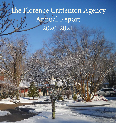# The Florence Crittenton Agency Annual Report 2020-2021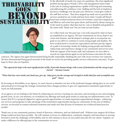## Thrivability GOES BEYONDsustaina



Nancy Christian, President & CEO

In the aftermath of nearly two years of a pandemic, the most significant problem facing agency boards, CEOs, and management teams today is the task of creating organizations capable of thriving and sustaining and addressing the workforce crisis. Staffing and the lack of employees has been a challenge over the past year. However, I must give credit to the staff that we have. They have stepped up made sure to provide the services needed for our youth and have been what I would call Hero's! Some have worked numerous hours of overtime, some have stepped up and filled in, and some have gone above and beyond by always saying yes to the need no matter what that may be. I am so thankful and grateful to the entire staff. Thank you! You are truly servant leaders.

As I reflect back over the past year, I am truly amazed by what we have accomplished as an Agency. We have maintained our focus, kept to our vision and mission, and developed a strategic plan to incorporate our goals in our effort to continue to reach young people and families. We have worked hard to exceed our expectations and have put the Agency on a path to becoming a leader for helping young people and families realize hope and experience change in our community and service area. With the support of the board, staff, and volunteers we were able to exceed our expectations again in our performance outcomes for state

contracts. The Agency has again demonstrated being fiscally responsible, finishing the year with excess revenue over expenses. We have demonstrated being good stewards of the funds we receive by providing quality services with proven outcomes. To give hope to those who are hopeless.

*"Th e capacity for hope is the most signifi cant fact of life. It provides human beings with a sense of destination and the energy to get started." - Norman Cousins*

*"When that tiny voice inside your head says, give up…hope gives you the courage and strength to tackle that fear and accomplish your goal" - Nancy*

By focusing on thrivability, as an Agency, we must choose to abandon our fear of the profound changes taking place in our world and instead act to leverage the strategic momentum these changes produce to give our organizations maximum opportunity to reach our full potential.

As an agency, we are looking to the future by enhancing our services, tracking our outcomes, and investing in new and emerging growth areas. In our core business, we revitalized our offerings and made great strides in reducing our administration costs. To ensure that FCA is properly aligned to capture growth opportunities, we made important organizational changes - enhancing our services and programs to take advantage of the tremendous opportunities facing our community. In the area of children services, we focused on trauma informed treatment and made sure that all areas of treatment use evidenced based practice models.

Thank you, to our community partners, board of directors, volunteers, and our dedicated staff. Without your support all of these things would not have been possible. We will continue to focus on collaboration, continuity, integrity, and innovation in moving forward to meet the challenges of thrivability, and we will continue to focus on successful outcomes for our clients. Together, we make a difference by offering hope in the communities we serve.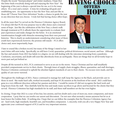Despite the recent "Snowpocalypse" and winter madness, I hope that this letter finds everybody doing well and enjoying the New Year! The beginning of the year is always a special time for me, as it is for many others. It's a reset and a restart. A time for evaluating old goals and establishing new. An opportunity to face the New Year, and just like in those old "Choose Your Own Adventure® books, a chance to guide the year in any direction that you choose. I truly feel that having choice offers hope.

In all the years that I've served on the Florence Crittenton Agency Board, I've always felt that FCA's true purpose was to offer choice and a renewed sense of hope. Just like the celebration of the New Year, a client's walk through treatment at FCA affords them the opportunity to evaluate their past experiences and make changes for the better. It is an emotional transformation fraught with obstacles stemming from their own personal histories. This is clearly an understatement considering what many of these youth have experienced; however, the premise still stands - FCA offers choice and, more importantly, hope.

I hate to sound like a broken record, but many of the things I stated in last

### **CHOIC OFFERS** HOPE



#### Bavy U. Lopez, Board Chair

year's letter still exist today. Specifically, we still have Covid, quarantine, political divisiveness, social unrest, and loss. Although the fear and anxiety from 2021 has faded, to a degree, we are still dealing with the outcomes stemming from a pandemic. Confusion, uncertainty, and doubt still exist like aftershocks from an earthquake. These are things that we all fervently hope to move past and put behind us.

Despite all the turmoil in 2021, FCA continued to serve as an eye in the storm. Nancy Christian and her staff steadfastly provided compassionate service to their clients. Through times of supply chain struggles, illness, quarantine, and staff shortages, Florence Crittenton continued to uphold the absolute highest standards of care to their clients. No excuses were made, and the quality of care never wavered.

Throughout the challenges of 2021, Nancy continued to manage her staff, keep the Agency in the black, and provide care to those in need. She made hard calls, worked incessantly, and kept FCA's mission at the forefront of her mind. 2021 could have gone in a very different direction without her passion and drive. I would be remiss if I did not recognize the hard work and long hours from the staff. They dutifully held the line and made many sacrifices to go above and beyond for the clients that they served. Florence Crittenton has high standards for its staff , and these staff members set the bar even higher.

In closing, I hope that 2022 is a year of less fear, less anxiety, and less doubt and a year of more joy, more compassion, and more cooperation. I pray that we can resolve our unrest and discontent. I'm not sure what normalcy means anymore but let us at least honor the Golden Rule. If nothing else, I hope that we can follow the examples that the Florence Crittenton Agency has set - hard work, high standards, heartfelt care, and boundless compassion. I, sincerely, wish you all a very Happy New Year and appreciate your continued support of FCA and its very important mission.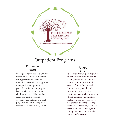

### Outpatient Programs

#### **Crittenton** Foster

is designed for youth and families whose special needs can be met through services delivered by trained, supervised, and supported therapeutic foster parents. The goal of our foster care program is to provide permanency for the children we serve. The families receive extensive support, coaching, and training, which all play a key role in the long-term success of the youth they foster.

#### Square One

is an Intensive Outpatient (IOP) treatment center for residential clients, their families, and the whole community. Located on-site, Square One provides intensive drug and alcohol treatment, complete mental health services, evaluations, family therapy, marriage counseling, and more. The IOP also serves pregnant and newly parenting teens. At Square One, clients can receive individual, group, and family therapy for an extended number of sessions.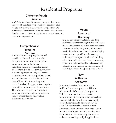### Residential Programs

#### Crittenton Youth Services

is a 90-day residential treatment program that forms the core of the Agency's portfolio of services. This 32-bed unit provides a group living experience and individualized services to meet the needs of adolescent females (ages 13-18) with moderate to severe behavioral or emotional problems.

#### Youth Summit of Recovery

#### Comprehensive Trauma **Services**

is an innovative new program that will provide 9-12 months of residential, therapeutic care to low-income, young women trapped in the human sex trafficking industry. Human trafficking, often referred to as "modern day slavery," is a crime against humanity that forces vulnerable populations to perform sexual acts or laborious tasks for the profit of the trafficker. Victims are frequently coerced, tricked, drugged, or taken against their will in order to serve the trafficker. This program will provide immediate short-term housing and comprehensive supportive services to help victims overcome their trauma.

is a 60-day enhanced alcohol and drug residential treatment program for adolescent males and females. YSR uses evidence-based treatment models for youth with exposure to childhood trauma. This program is highly structured and provides early recovery skills, anger management, alcohol and drug education, individual and family counseling, group and independent life skills, academic education, and medical care in a structured seven day-a-week therapeutic environment.

#### **New Pathways** Academy

is our on-site school for youth in our residential treatment programs. NPA is a fully accredited Category 1 (non-public), Title 1 school that teaches a special population of at-risk middle and high school students in State custody who need highly focused instruction to help them stay in school, recover credits, establish a clear educational path, graduate from high school, obtain a HiSET, gain essential employment skills, assist in the community, and receive assistance on college and job applications.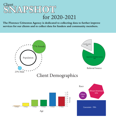

**The Florence Crittenton Agency is dedicated to collecting data to further improve services for our clients and to collect data for funders and community members.**

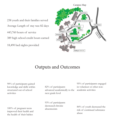238 youth and their families served Average Length of stay was 82 days 443,760 hours of service 389 high school credit hours earned 18,490 bed nights provided



### Outputs and Outcomes

90% of participants gained knowledge and skills within structured out-of-school activities

100% of pregnant teens improved their health and the health of their babies

82% of participants advanced academically to the next grade level

93% of participants decreased chronic absenteeism

95% of participants engaged in volunteer or other nonacademic activities

84% of youth decreased the risk of continued substance abuse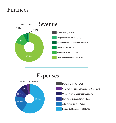## Finances



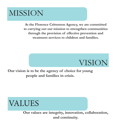# MISSION

**At the Florence Crittenton Agency, we are committed to carrying out our mission to strengthen communities through the provision of effective prevention and treatment services to children and families.**



**Our vision is to be the agency of choice for young people and families in crisis.**



**Our values are integrity, innovation, collaboration, and continuity.**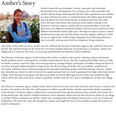## Amber's Story



Amber's home life was traumatic, chaotic, uncertain, and extremely detrimental to her development. For as long as she could remember, her mother abused drugs and frequently left her with acquaintances for months at a time without any notice or communication. Her father abused alcohol and was absent for most of her life due to frequent jail time. Her older sister ran away from home and ended up in jail. Before coming to the Florence Crittenton Agency, Amber had no permanent place to live; she had been to six different treatment facilities with no success and lived in five different households within eight years. Moving from place to place created abandonment issues and introduced her to many negative influences. With no one to support her, Amber began skipping school, abusing substances, and eventually running away from her temporary living situations.

Like many of the youth we serve, Amber was lost. Without the Florence Crittenton Agency, she could have been lost forever. She had been living on the streets for over three months when she was picked up as a runaway. Amber was diagnosed as a runaway teen with co-occurring mental health and substance abuse problems.

The Florence Crittenton Agency's staff worked with Amber to address and treat her substance abuse and mental health problems and to create goals for a healthy and productive future. She also completed life skills courses to help her build a resume, search for jobs, access transportation, manage budgets, participate in healthy eating and physical activities, and gain additional skills to improve her life after leaving our facility. She successfully completed our 20-session substance abuse treatment program and attended individual, group, and family therapy sessions. Amber also attended our school in order to recover her grades and get back on track to graduate from high school and attend college. Upon leaving our program, she had successfully recovered eight high school credits and enrolled in high school where she only needs three credits to graduate. Amber took the ACT and is scheduled for at least one college visit.

The Florence Crittenton agency helped Amber find a foster home just a few miles from her aunt's house, a teacher and positive role model in her life. Our staff continues to follow up with Amber, and she reports that family counseling at the Florence Crittenton Agency helped them communicate better, get the assistance they needed, and reunite as a strong family unit. She reports complete abstinence from substance abuse and says that she has no desire to use drugs or alcohol. Before coming to our facility, Amber was a young female searching for land across a vast sea of trials and tribulations. We threw her a life raft, brought her ashore, and taught her how to successfully navigate the waters to a positive destination.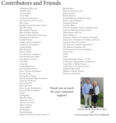## Contributors and Friends

100 Women Who Care AKIMA Club Amazon Smile Annie Stiles Anonymous Donations Associated Fire Services, LLC Bavy Lopez Bearden United Methodist Church BGT Recruiting Bill and Kelly Cremins Bob and Diane Shepard Bobcat of Knoxville/Chattanooga Box Tops for Education Camille Wheeler Charles and Lisa Chambers Council on Accreditation Cynthia Walker Dale Wortham Donna Trimble East Tennessee Foundation Erin Presbyterian Church First Baptist Concord Gary West Good 360 In Kind Donations Jane and David Stroud Jane L. Pettway Foundation Jo Ann Guidry Joel and Rose Manley John & Elizabeth Milan Foundation Justin and Aja Rosser Kid Central TN Kim Ciukowski Knox County Development Knoxville Bar Foundation Kroger Linda Jaffrey Mike W. Guidry Mount Rest Fund Network for Good Nancy Christian Nancy Hardin Pat Scofield Patrick Burkhart Raymond and Sharon Patton McCord

Richard Rose Ridenour Properties, LLC Robert Seaman Robert Shepard Ronald Wagoner and Ronita Adams Rotary Club of Bearden Samantha Edwards SunTrust Bank Schwab Charitable - Renner Charitable Fund Sequoyah Hills Presbyterian Church Sharon Patton McCord Sherry Parker Lee Tennessee Alliance for Children and Families Tennessee Commission on Children and Youth Tennessee State Government The Benevity Comunity Impact Fund The Melrose Foundation Inc The National Crittenton Foundation Tom Coulter **TOPS** Truist United Methodist Women - CUMC United States Department of Agriculture United Way of Blount County United Way of Greater Knoxville Volunteer Mechanical William or Donna Trimble Women of the Moose

#### Thank you so much for your continued support!



Current Board Chair, Bavy Lopez and Previous Board Chair, Kim Ciukowski